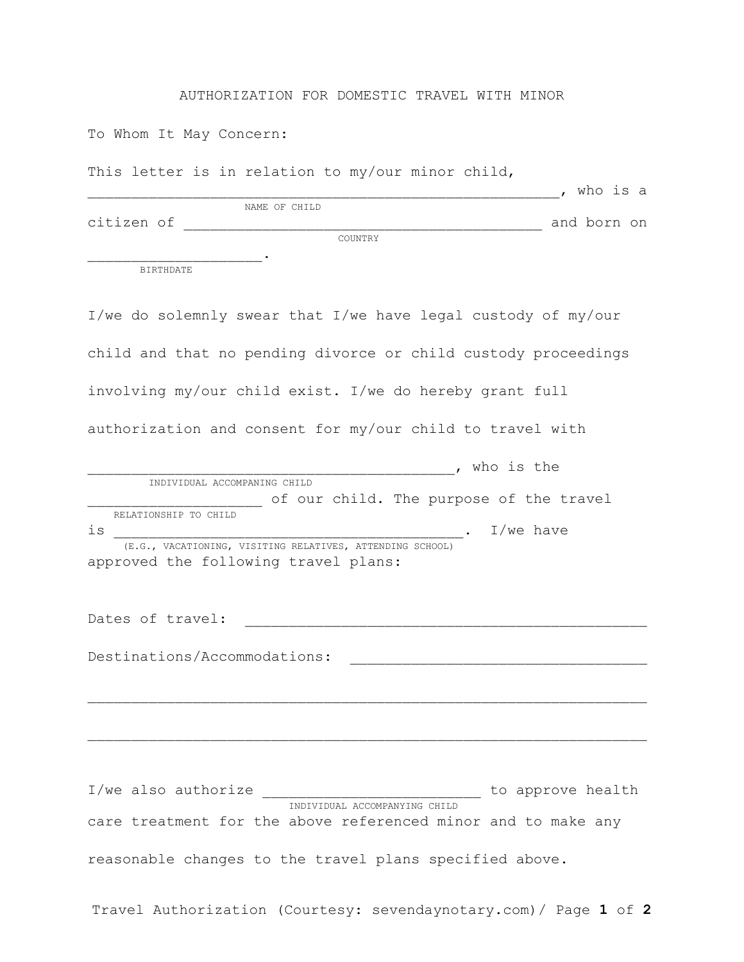## AUTHORIZATION FOR DOMESTIC TRAVEL WITH MINOR

To Whom It May Concern:

This letter is in relation to my/our minor child,

|            |               | who is a    |
|------------|---------------|-------------|
|            | NAME OF CHILD |             |
| citizen of |               | and born on |
|            | COUNTRY       |             |
|            |               |             |
| BIRTHDATE  |               |             |

I/we do solemnly swear that I/we have legal custody of my/our child and that no pending divorce or child custody proceedings involving my/our child exist. I/we do hereby grant full authorization and consent for my/our child to travel with , who is the INDIVIDUAL ACCOMPANING CHILD \_\_\_\_\_\_\_\_\_\_\_\_\_\_\_\_\_\_ of our child. The purpose of the travel RELATIONSHIP TO CHILD is \_\_\_\_\_\_\_\_\_\_\_\_\_\_\_\_\_\_\_\_\_\_\_\_\_\_\_\_\_\_\_\_\_\_\_\_\_\_\_\_. I/we have (E.G., VACATIONING, VISITING RELATIVES, ATTENDING SCHOOL) approved the following travel plans: Dates of travel: Destinations/Accommodations: \_\_\_\_\_\_\_\_\_\_\_\_\_\_\_\_\_\_\_\_\_\_\_\_\_\_\_\_\_\_\_\_\_\_

I/we also authorize \_\_\_\_\_\_\_\_\_\_\_\_\_\_\_\_\_\_\_\_\_\_\_\_\_ to approve health INDIVIDUAL ACCOMPANYING CHILD care treatment for the above referenced minor and to make any reasonable changes to the travel plans specified above.